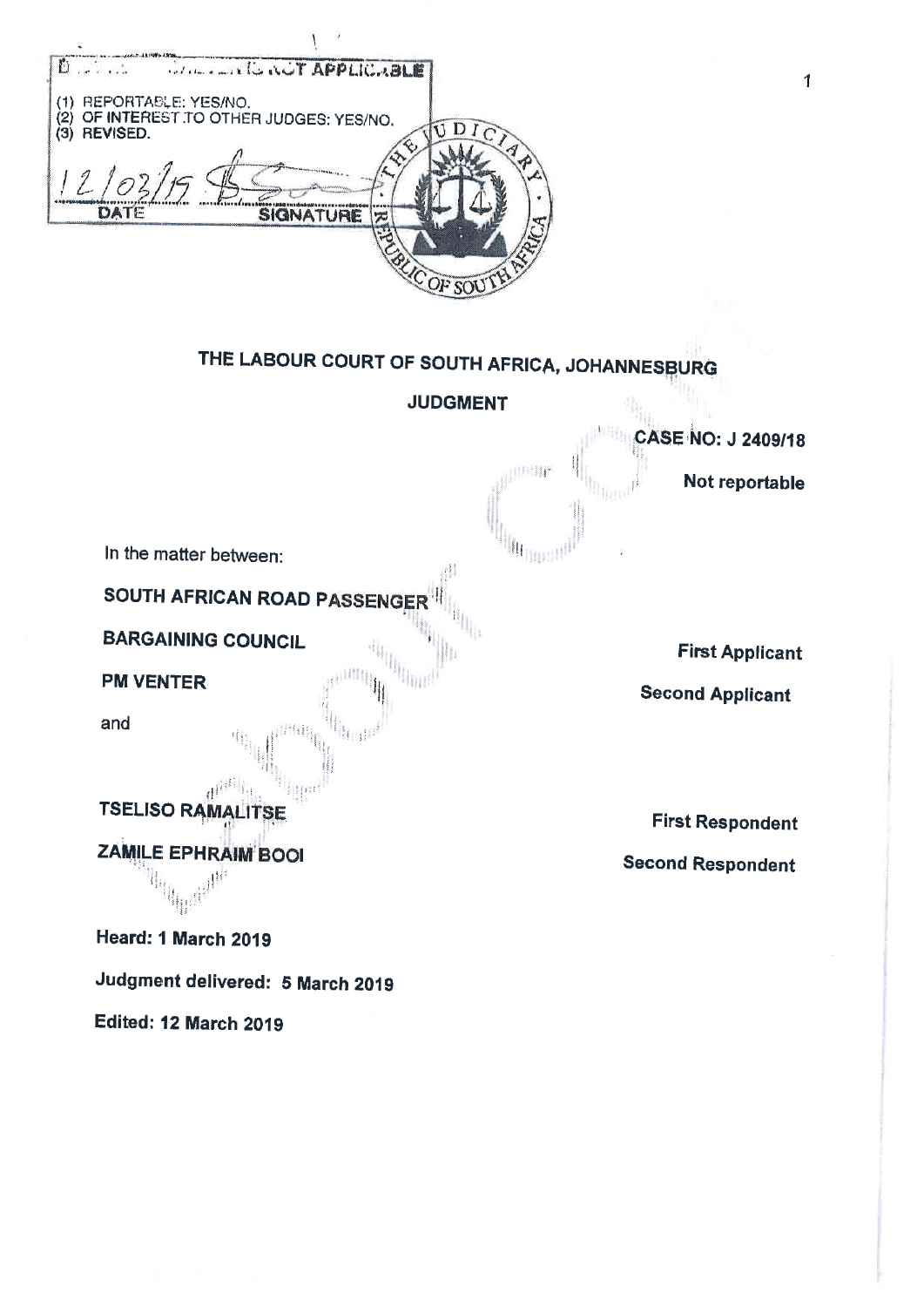

## THE LABOUR COURT OF SOUTH AFRICA, JOHANNESBURG

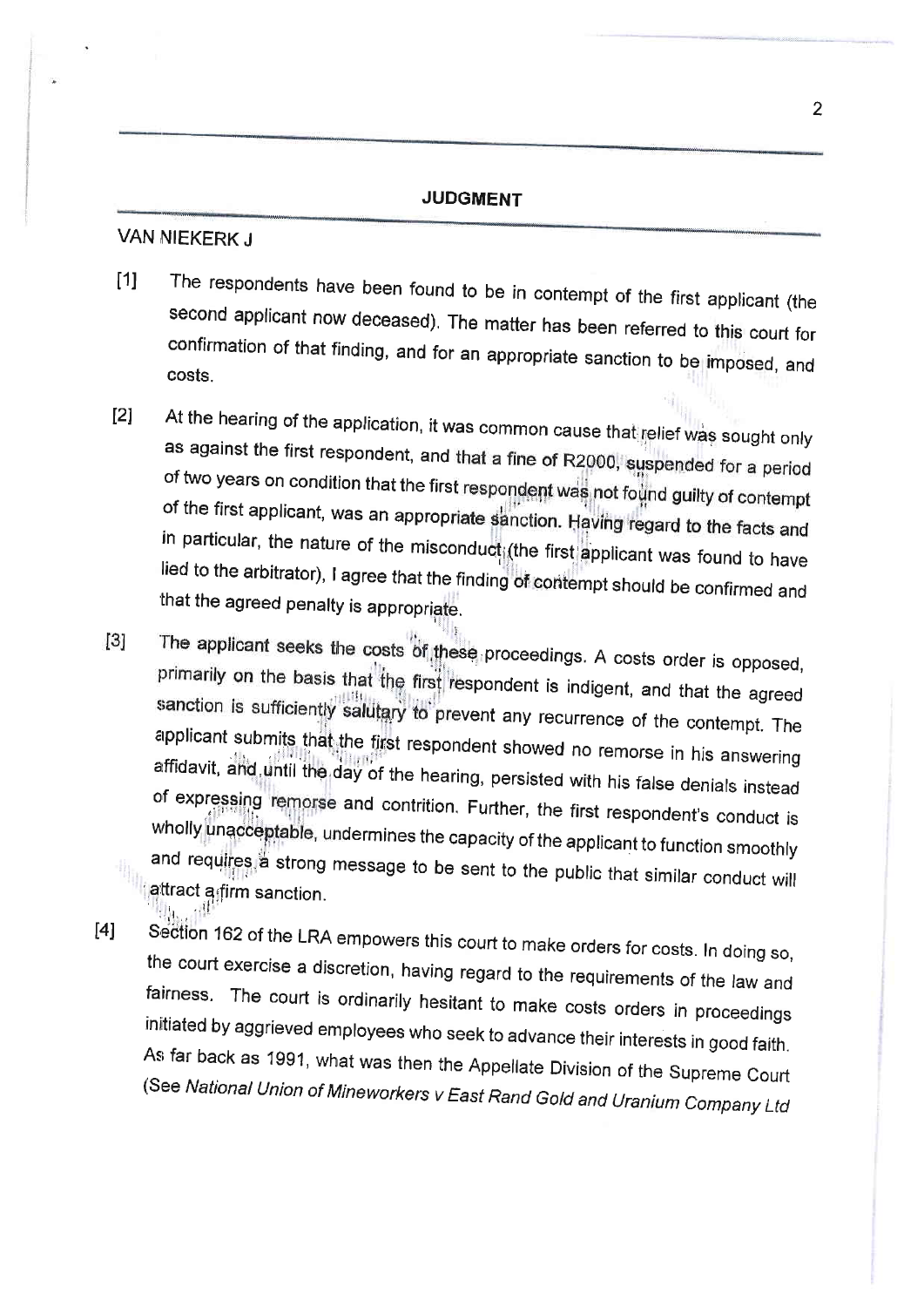## JUDGMENT

## VAN NIEKERK J

- [1] The respondents have been found to be in contempt of the first applicant (the second applicant now deceased). The matter has been referred to this court for confirmation of that finding, and for an appropriate sanction
- [2] At the hearing of the application, it was common cause that relief was sought only as against the first respondent, and that a fine of R2000, suspended for a period of two years on condition that the first respondent was not found guilty of contempt of the first applicant, was an appropriate sanction. Having regard to the facts and in particular, the nature of the misconduct; (the first applicant was found to have lied to the arbitrator), I agree that the finding of contempt should be confirmed and that the agreed penalty is appropriate.
- The applicant seeks the costs of these proceedings. A costs order is opposed,  $[3]$ primarily on the basis that the first respondent is indigent, and that the agreed<br>sanction is sufficiently salutary to prevent any recurrence of the contempt. The applicant submits that the first respondent showed no remorse in his answering<br>affidavit, and until the day of the hearing, persisted with his false denials instead<br>of expressing remorse and contrition. Further, the first
- [4] Section 162 of the LRA empowers this court to make orders for costs. In doing so, the court exercise a discretion, having regard to the requirements of the law and fairness. The court is ordinarily hesitant to make cos As far back as 1991, what was then the Appellate Division of the Supreme Court<br>(See National Union of Mineworkers v East Rand Gold and Uranium Company Ltd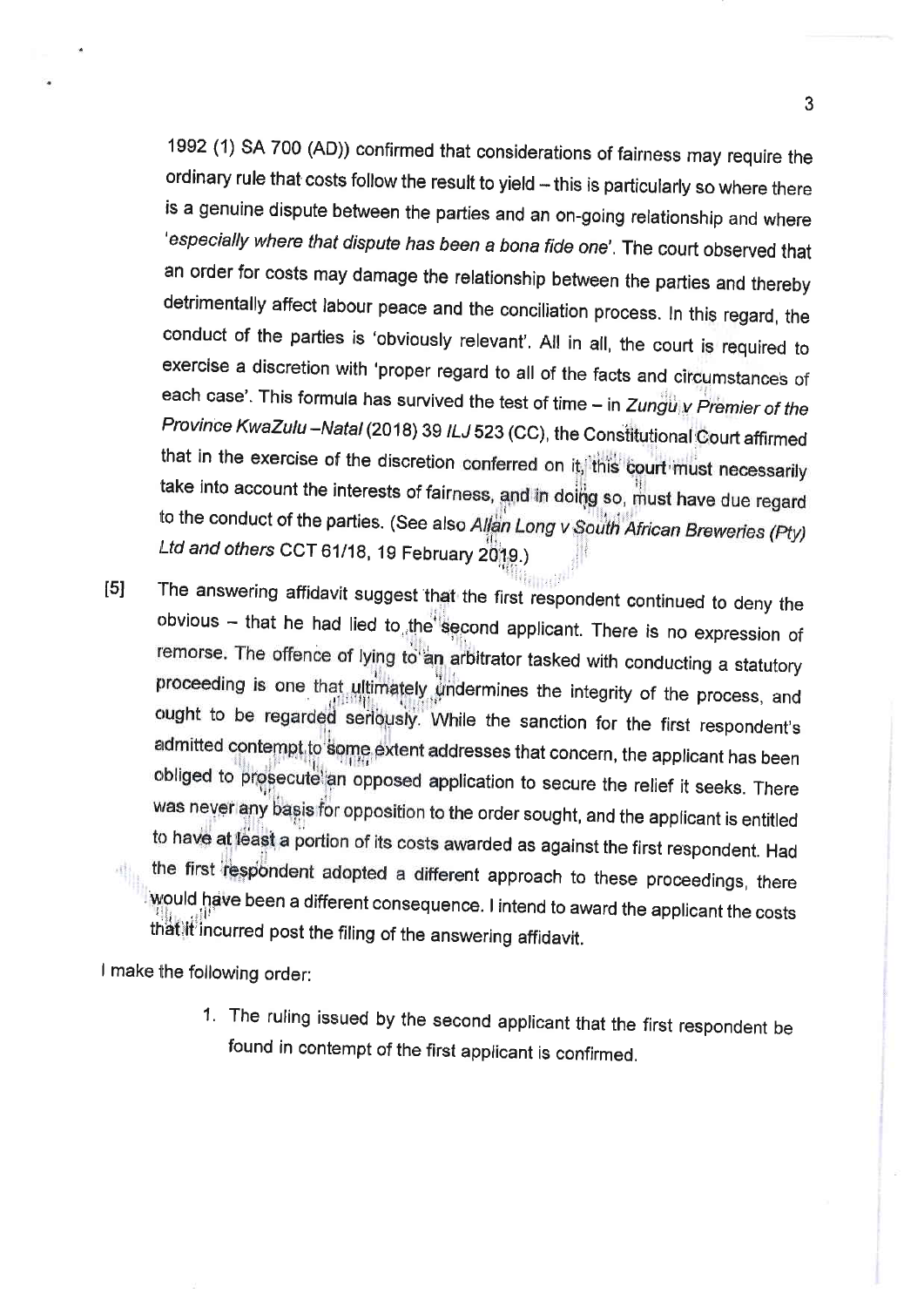1992 (1) sA 700 (AD)) confirmed that considerations of fairness may require the ordinary rule that costs follow the result to yield - this is particularly so where there is a genuine dispute between the parties and an on-going relationship and where 'especially where that dispute has been a bona fide one', The court observed that an order for costs may damage the relationship between the parties and thereby detrimentally affect labour peace and the conciliation process. In this regard, the conduct of the parties is 'obviously relevant', All in all, the court is required to exercise a discretion with 'proper regard to all of the facts and circumstances of each case'. This formula has survived the test of time  $-$  in Zunguly Premier of the Province KwaZulu -Natal (2018) 39 ILJ 523 (CC), the Constitutional Court affirmed that in the exercise of the discretion conferred on it, this court must necessarily take into account the interests of fairness, and in dollig so, must have due regard to the conduct of the parties. (See also Allan Long v South African Breweries (Pty) Ltd and others CCT 61/18, 19 February 2019.)

[5] The answering affidavit suggest that the first respondent continued to deny the obvious - that he had lied to, the second applicant. There is no expression of remorse. The offence of lying to an arbitrator tasked with conducting a statutory proceeding is one that ultimately undermines the integrity of the process, and ought to be regarded seriously. While the sanction for the first respondent's admitted contempt to some extent addresses that concern, the applicant has been obliged to prosecute an opposed application to secure the relief it seeks. There was never any basis for opposition to the order sought, and the applicant is entitled to have at least a portion of its costs awarded as against the first respondent. Had the first respondent adopted a different approach to these proceedings, there would have been a different consequence. I intend to award the applicant the costs that it incurred post the filing of the answering affidavit.

I make the following order:

1. The ruling issued by the second applicant that the first respondent be found in contempt of the first applicant is confirmed,

3